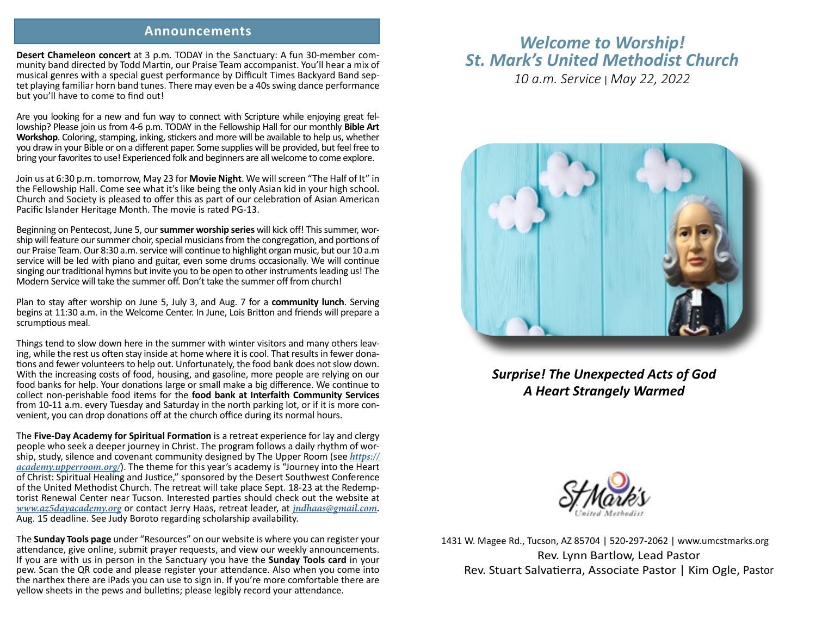## **Announcements**

**Desert Chameleon concert** at 3 p.m. TODAY in the Sanctuary: A fun 30-member community band directed by Todd Martin, our Praise Team accompanist. You'll hear a mix of musical genres with a special guest performance by Difficult Times Backyard Band septet playing familiar horn band tunes. There may even be a 40s swing dance performance but you'll have to come to find out!

Are you looking for a new and fun way to connect with Scripture while enjoying great fellowship? Please join us from 4-6 p.m. TODAY in the Fellowship Hall for our monthly **Bible Art Workshop**. Coloring, stamping, inking, stickers and more will be available to help us, whether you draw in your Bible or on a different paper. Some supplies will be provided, but feel free to bring your favorites to use! Experienced folk and beginners are all welcome to come explore.

Join us at 6:30 p.m. tomorrow, May 23 for **Movie Night**. We will screen "The Half of It" in the Fellowship Hall. Come see what it's like being the only Asian kid in your high school. Church and Society is pleased to offer this as part of our celebration of Asian American Pacific Islander Heritage Month. The movie is rated PG-13.

Beginning on Pentecost, June 5, our **summer worship series** will kick off! This summer, worship will feature our summer choir, special musicians from the congregation, and portions of our Praise Team. Our 8:30 a.m. service will continue to highlight organ music, but our 10 a.m service will be led with piano and guitar, even some drums occasionally. We will continue singing our traditional hymns but invite you to be open to other instruments leading us! The Modern Service will take the summer off. Don't take the summer off from church!

Plan to stay after worship on June 5, July 3, and Aug. 7 for a **community lunch**. Serving begins at 11:30 a.m. in the Welcome Center. In June, Lois Britton and friends will prepare a scrumptious meal.

Things tend to slow down here in the summer with winter visitors and many others leaving, while the rest us often stay inside at home where it is cool. That results in fewer dona-<br>tions and fewer volunteers to help out. Un With the increasing costs of food, housing, and gasoline, more people are relying on our food banks for help. Your donations large or small make a big difference. We continue to collect non-perishable food items for the **food bank at Interfaith Community Services** venient, you can drop donations off at the church office during its normal hours.

The **Five-Day Academy for Spiritual Formation** is a retreat experience for lay and clergy ship, study, silence and covenant community designed by The Upper Room (see *https:// academy.upperroom.org/*). The theme for this year's academy is "Journey into the Heart of Christ: Spiritual Healing and Justice," sponsored by the Desert Southwest Conference of the United Methodist Church. The retreat will take place Sept. 18-23 at the Redemptorist Renewal Center near Tucson. Interested parties should check out the website at *www.az5dayacademy.org* or contact Jerry Haas, retreat leader, at *jndhaas@gmail.com*. Aug. 15 deadline. See Judy Boroto regarding scholarship availability.

The **Sunday Tools page** under "Resources" on our website is where you can register your attendance, give online, submit prayer requests, and view our weekly announcements. If you are with us in person in the Sanctuary you have the **Sunday Tools card** in your pew. Scan the QR code and please register your attendance. Also when you come into the narthex there are iPads you can use to sign in. If you're more comfortable there are yellow sheets in the pews and bulletins; please legibly record your attendance.

## *Welcome to Worship! St. Mark's United Methodist Church*

*10 a.m. Service* | *May 22, 2022*



*Surprise! The Unexpected Acts of God A Heart Strangely Warmed*



1431 W. Magee Rd., Tucson, AZ 85704 | 520-297-2062 | www.umcstmarks.org Rev. Lynn Bartlow, Lead Pastor Rev. Stuart Salvatierra, Associate Pastor | Kim Ogle, Pastor